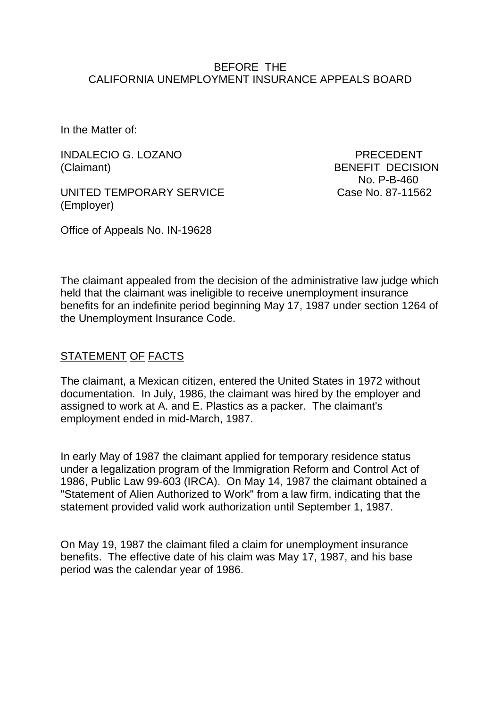### BEFORE THE CALIFORNIA UNEMPLOYMENT INSURANCE APPEALS BOARD

In the Matter of:

INDALECIO G. LOZANO PRECEDENT (Claimant) BENEFIT DECISION

UNITED TEMPORARY SERVICE Case No. 87-11562 (Employer)

No. P-B-460

Office of Appeals No. IN-19628

The claimant appealed from the decision of the administrative law judge which held that the claimant was ineligible to receive unemployment insurance benefits for an indefinite period beginning May 17, 1987 under section 1264 of the Unemployment Insurance Code.

## STATEMENT OF FACTS

The claimant, a Mexican citizen, entered the United States in 1972 without documentation. In July, 1986, the claimant was hired by the employer and assigned to work at A. and E. Plastics as a packer. The claimant's employment ended in mid-March, 1987.

In early May of 1987 the claimant applied for temporary residence status under a legalization program of the Immigration Reform and Control Act of 1986, Public Law 99-603 (IRCA). On May 14, 1987 the claimant obtained a "Statement of Alien Authorized to Work" from a law firm, indicating that the statement provided valid work authorization until September 1, 1987.

On May 19, 1987 the claimant filed a claim for unemployment insurance benefits. The effective date of his claim was May 17, 1987, and his base period was the calendar year of 1986.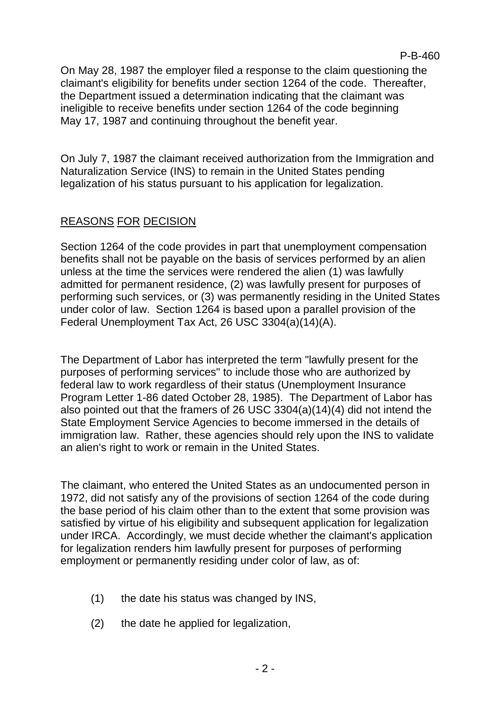On May 28, 1987 the employer filed a response to the claim questioning the claimant's eligibility for benefits under section 1264 of the code. Thereafter, the Department issued a determination indicating that the claimant was ineligible to receive benefits under section 1264 of the code beginning May 17, 1987 and continuing throughout the benefit year.

On July 7, 1987 the claimant received authorization from the Immigration and Naturalization Service (INS) to remain in the United States pending legalization of his status pursuant to his application for legalization.

# REASONS FOR DECISION

Section 1264 of the code provides in part that unemployment compensation benefits shall not be payable on the basis of services performed by an alien unless at the time the services were rendered the alien (1) was lawfully admitted for permanent residence, (2) was lawfully present for purposes of performing such services, or (3) was permanently residing in the United States under color of law. Section 1264 is based upon a parallel provision of the Federal Unemployment Tax Act, 26 USC 3304(a)(14)(A).

The Department of Labor has interpreted the term "lawfully present for the purposes of performing services" to include those who are authorized by federal law to work regardless of their status (Unemployment Insurance Program Letter 1-86 dated October 28, 1985). The Department of Labor has also pointed out that the framers of 26 USC 3304(a)(14)(4) did not intend the State Employment Service Agencies to become immersed in the details of immigration law. Rather, these agencies should rely upon the INS to validate an alien's right to work or remain in the United States.

The claimant, who entered the United States as an undocumented person in 1972, did not satisfy any of the provisions of section 1264 of the code during the base period of his claim other than to the extent that some provision was satisfied by virtue of his eligibility and subsequent application for legalization under IRCA. Accordingly, we must decide whether the claimant's application for legalization renders him lawfully present for purposes of performing employment or permanently residing under color of law, as of:

- (1) the date his status was changed by INS,
- (2) the date he applied for legalization,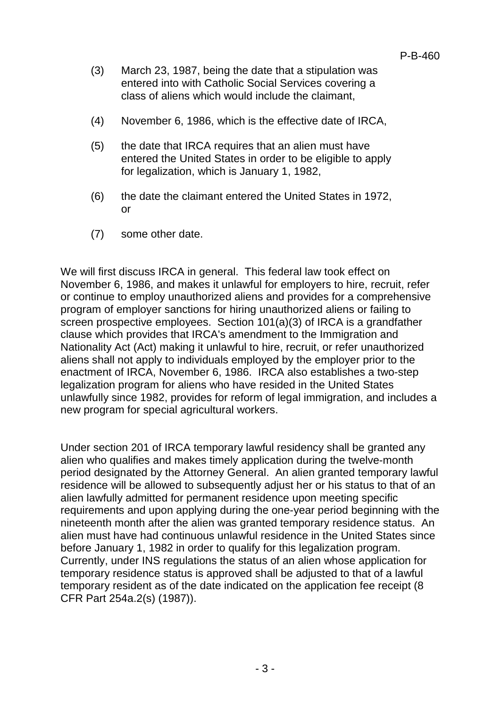- (3) March 23, 1987, being the date that a stipulation was entered into with Catholic Social Services covering a class of aliens which would include the claimant,
- (4) November 6, 1986, which is the effective date of IRCA,
- (5) the date that IRCA requires that an alien must have entered the United States in order to be eligible to apply for legalization, which is January 1, 1982,
- (6) the date the claimant entered the United States in 1972, or
- (7) some other date.

We will first discuss IRCA in general. This federal law took effect on November 6, 1986, and makes it unlawful for employers to hire, recruit, refer or continue to employ unauthorized aliens and provides for a comprehensive program of employer sanctions for hiring unauthorized aliens or failing to screen prospective employees. Section 101(a)(3) of IRCA is a grandfather clause which provides that IRCA's amendment to the Immigration and Nationality Act (Act) making it unlawful to hire, recruit, or refer unauthorized aliens shall not apply to individuals employed by the employer prior to the enactment of IRCA, November 6, 1986. IRCA also establishes a two-step legalization program for aliens who have resided in the United States unlawfully since 1982, provides for reform of legal immigration, and includes a new program for special agricultural workers.

Under section 201 of IRCA temporary lawful residency shall be granted any alien who qualifies and makes timely application during the twelve-month period designated by the Attorney General. An alien granted temporary lawful residence will be allowed to subsequently adjust her or his status to that of an alien lawfully admitted for permanent residence upon meeting specific requirements and upon applying during the one-year period beginning with the nineteenth month after the alien was granted temporary residence status. An alien must have had continuous unlawful residence in the United States since before January 1, 1982 in order to qualify for this legalization program. Currently, under INS regulations the status of an alien whose application for temporary residence status is approved shall be adjusted to that of a lawful temporary resident as of the date indicated on the application fee receipt (8 CFR Part 254a.2(s) (1987)).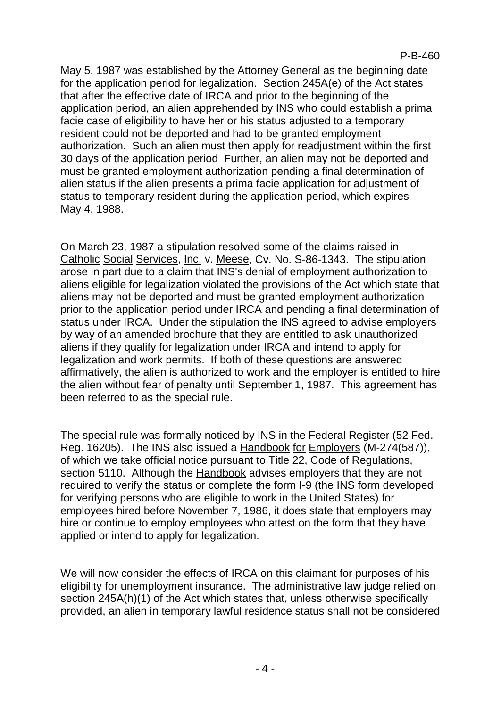May 5, 1987 was established by the Attorney General as the beginning date for the application period for legalization. Section 245A(e) of the Act states that after the effective date of IRCA and prior to the beginning of the application period, an alien apprehended by INS who could establish a prima facie case of eligibility to have her or his status adjusted to a temporary resident could not be deported and had to be granted employment authorization. Such an alien must then apply for readjustment within the first 30 days of the application period Further, an alien may not be deported and must be granted employment authorization pending a final determination of alien status if the alien presents a prima facie application for adjustment of status to temporary resident during the application period, which expires May 4, 1988.

On March 23, 1987 a stipulation resolved some of the claims raised in Catholic Social Services, Inc. v. Meese, Cv. No. S-86-1343. The stipulation arose in part due to a claim that INS's denial of employment authorization to aliens eligible for legalization violated the provisions of the Act which state that aliens may not be deported and must be granted employment authorization prior to the application period under IRCA and pending a final determination of status under IRCA. Under the stipulation the INS agreed to advise employers by way of an amended brochure that they are entitled to ask unauthorized aliens if they qualify for legalization under IRCA and intend to apply for legalization and work permits. If both of these questions are answered affirmatively, the alien is authorized to work and the employer is entitled to hire the alien without fear of penalty until September 1, 1987. This agreement has been referred to as the special rule.

The special rule was formally noticed by INS in the Federal Register (52 Fed. Reg. 16205). The INS also issued a Handbook for Employers (M-274(587)), of which we take official notice pursuant to Title 22, Code of Regulations, section 5110. Although the Handbook advises employers that they are not required to verify the status or complete the form I-9 (the INS form developed for verifying persons who are eligible to work in the United States) for employees hired before November 7, 1986, it does state that employers may hire or continue to employ employees who attest on the form that they have applied or intend to apply for legalization.

We will now consider the effects of IRCA on this claimant for purposes of his eligibility for unemployment insurance. The administrative law judge relied on section 245A(h)(1) of the Act which states that, unless otherwise specifically provided, an alien in temporary lawful residence status shall not be considered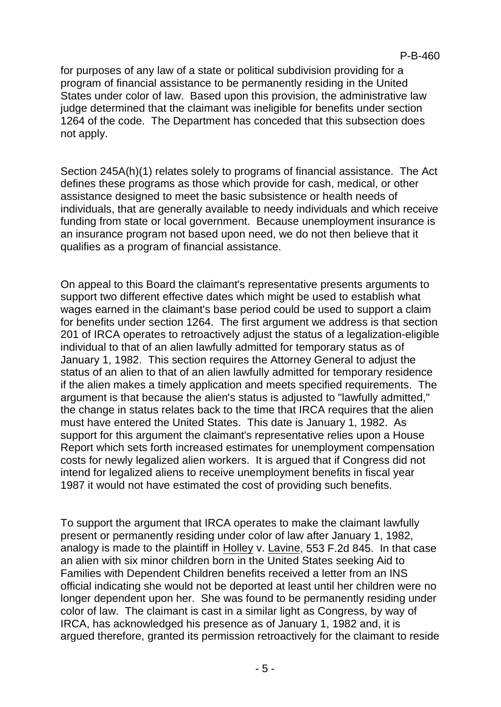for purposes of any law of a state or political subdivision providing for a program of financial assistance to be permanently residing in the United States under color of law. Based upon this provision, the administrative law judge determined that the claimant was ineligible for benefits under section 1264 of the code. The Department has conceded that this subsection does not apply.

Section 245A(h)(1) relates solely to programs of financial assistance. The Act defines these programs as those which provide for cash, medical, or other assistance designed to meet the basic subsistence or health needs of individuals, that are generally available to needy individuals and which receive funding from state or local government. Because unemployment insurance is an insurance program not based upon need, we do not then believe that it qualifies as a program of financial assistance.

On appeal to this Board the claimant's representative presents arguments to support two different effective dates which might be used to establish what wages earned in the claimant's base period could be used to support a claim for benefits under section 1264. The first argument we address is that section 201 of IRCA operates to retroactively adjust the status of a legalization-eligible individual to that of an alien lawfully admitted for temporary status as of January 1, 1982. This section requires the Attorney General to adjust the status of an alien to that of an alien lawfully admitted for temporary residence if the alien makes a timely application and meets specified requirements. The argument is that because the alien's status is adjusted to "lawfully admitted," the change in status relates back to the time that IRCA requires that the alien must have entered the United States. This date is January 1, 1982. As support for this argument the claimant's representative relies upon a House Report which sets forth increased estimates for unemployment compensation costs for newly legalized alien workers. It is argued that if Congress did not intend for legalized aliens to receive unemployment benefits in fiscal year 1987 it would not have estimated the cost of providing such benefits.

To support the argument that IRCA operates to make the claimant lawfully present or permanently residing under color of law after January 1, 1982, analogy is made to the plaintiff in Holley v. Lavine, 553 F.2d 845. In that case an alien with six minor children born in the United States seeking Aid to Families with Dependent Children benefits received a letter from an INS official indicating she would not be deported at least until her children were no longer dependent upon her. She was found to be permanently residing under color of law. The claimant is cast in a similar light as Congress, by way of IRCA, has acknowledged his presence as of January 1, 1982 and, it is argued therefore, granted its permission retroactively for the claimant to reside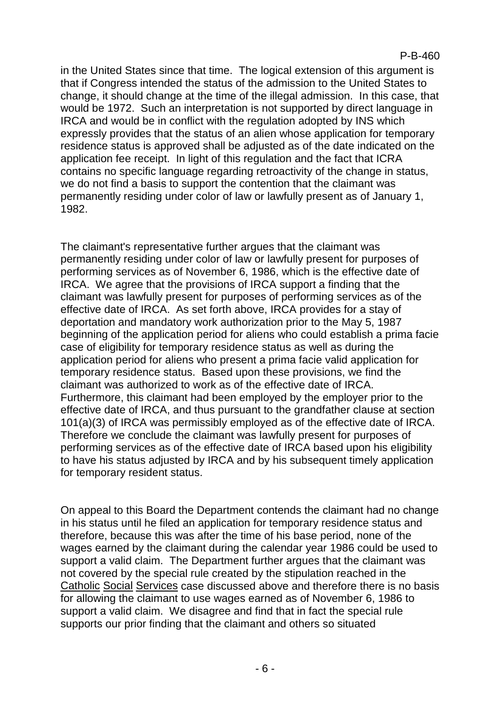in the United States since that time. The logical extension of this argument is that if Congress intended the status of the admission to the United States to change, it should change at the time of the illegal admission. In this case, that would be 1972. Such an interpretation is not supported by direct language in IRCA and would be in conflict with the regulation adopted by INS which expressly provides that the status of an alien whose application for temporary residence status is approved shall be adjusted as of the date indicated on the application fee receipt. In light of this regulation and the fact that ICRA contains no specific language regarding retroactivity of the change in status, we do not find a basis to support the contention that the claimant was permanently residing under color of law or lawfully present as of January 1, 1982.

The claimant's representative further argues that the claimant was permanently residing under color of law or lawfully present for purposes of performing services as of November 6, 1986, which is the effective date of IRCA. We agree that the provisions of IRCA support a finding that the claimant was lawfully present for purposes of performing services as of the effective date of IRCA. As set forth above, IRCA provides for a stay of deportation and mandatory work authorization prior to the May 5, 1987 beginning of the application period for aliens who could establish a prima facie case of eligibility for temporary residence status as well as during the application period for aliens who present a prima facie valid application for temporary residence status. Based upon these provisions, we find the claimant was authorized to work as of the effective date of IRCA. Furthermore, this claimant had been employed by the employer prior to the effective date of IRCA, and thus pursuant to the grandfather clause at section 101(a)(3) of IRCA was permissibly employed as of the effective date of IRCA. Therefore we conclude the claimant was lawfully present for purposes of performing services as of the effective date of IRCA based upon his eligibility to have his status adjusted by IRCA and by his subsequent timely application for temporary resident status.

On appeal to this Board the Department contends the claimant had no change in his status until he filed an application for temporary residence status and therefore, because this was after the time of his base period, none of the wages earned by the claimant during the calendar year 1986 could be used to support a valid claim. The Department further argues that the claimant was not covered by the special rule created by the stipulation reached in the Catholic Social Services case discussed above and therefore there is no basis for allowing the claimant to use wages earned as of November 6, 1986 to support a valid claim. We disagree and find that in fact the special rule supports our prior finding that the claimant and others so situated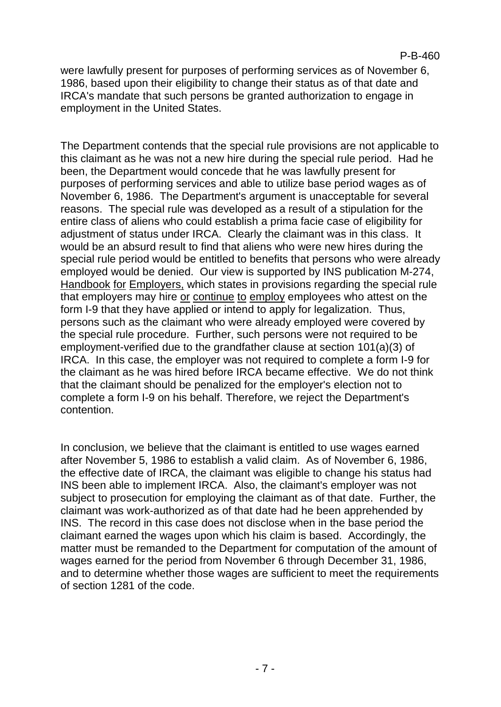#### P-B-460

were lawfully present for purposes of performing services as of November 6, 1986, based upon their eligibility to change their status as of that date and IRCA's mandate that such persons be granted authorization to engage in employment in the United States.

The Department contends that the special rule provisions are not applicable to this claimant as he was not a new hire during the special rule period. Had he been, the Department would concede that he was lawfully present for purposes of performing services and able to utilize base period wages as of November 6, 1986. The Department's argument is unacceptable for several reasons. The special rule was developed as a result of a stipulation for the entire class of aliens who could establish a prima facie case of eligibility for adjustment of status under IRCA. Clearly the claimant was in this class. It would be an absurd result to find that aliens who were new hires during the special rule period would be entitled to benefits that persons who were already employed would be denied. Our view is supported by INS publication M-274, Handbook for Employers, which states in provisions regarding the special rule that employers may hire or continue to employ employees who attest on the form I-9 that they have applied or intend to apply for legalization. Thus, persons such as the claimant who were already employed were covered by the special rule procedure. Further, such persons were not required to be employment-verified due to the grandfather clause at section 101(a)(3) of IRCA. In this case, the employer was not required to complete a form I-9 for the claimant as he was hired before IRCA became effective. We do not think that the claimant should be penalized for the employer's election not to complete a form I-9 on his behalf. Therefore, we reject the Department's contention.

In conclusion, we believe that the claimant is entitled to use wages earned after November 5, 1986 to establish a valid claim. As of November 6, 1986, the effective date of IRCA, the claimant was eligible to change his status had INS been able to implement IRCA. Also, the claimant's employer was not subject to prosecution for employing the claimant as of that date. Further, the claimant was work-authorized as of that date had he been apprehended by INS. The record in this case does not disclose when in the base period the claimant earned the wages upon which his claim is based. Accordingly, the matter must be remanded to the Department for computation of the amount of wages earned for the period from November 6 through December 31, 1986, and to determine whether those wages are sufficient to meet the requirements of section 1281 of the code.